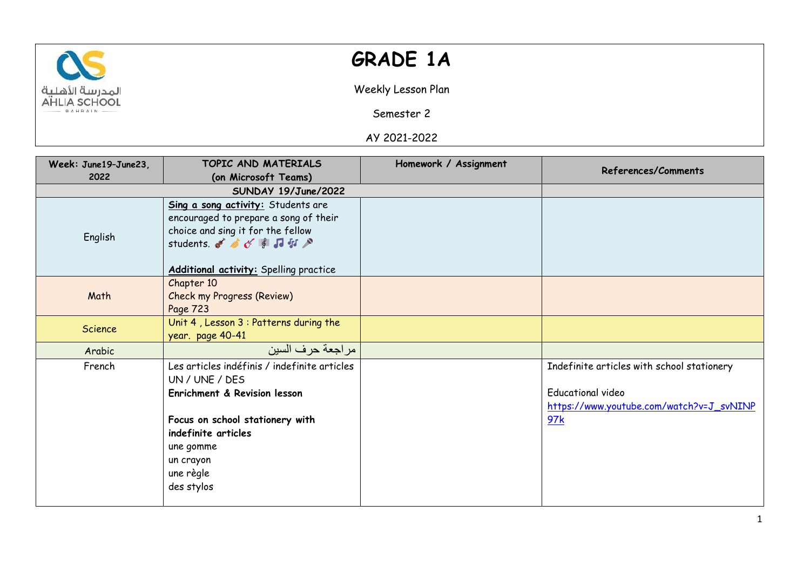

## **GRADE 1A**

Weekly Lesson Plan

Semester 2

AY 2021-2022

| Week: June19-June23, | TOPIC AND MATERIALS                                                                                                                                                                                           | Homework / Assignment | <b>References/Comments</b>                                                                                                |
|----------------------|---------------------------------------------------------------------------------------------------------------------------------------------------------------------------------------------------------------|-----------------------|---------------------------------------------------------------------------------------------------------------------------|
| 2022                 | (on Microsoft Teams)                                                                                                                                                                                          |                       |                                                                                                                           |
|                      | SUNDAY 19/June/2022                                                                                                                                                                                           |                       |                                                                                                                           |
| English              | Sing a song activity: Students are<br>encouraged to prepare a song of their<br>choice and sing it for the fellow<br>students. I students.<br>Additional activity: Spelling practice                           |                       |                                                                                                                           |
| Math                 | Chapter 10<br><b>Check my Progress (Review)</b><br>Page 723                                                                                                                                                   |                       |                                                                                                                           |
| Science              | Unit 4, Lesson 3 : Patterns during the<br>year. page 40-41                                                                                                                                                    |                       |                                                                                                                           |
| Arabic               | مر اجعة حر ف السين                                                                                                                                                                                            |                       |                                                                                                                           |
| French               | Les articles indéfinis / indefinite articles<br>UN / UNE / DES<br>Enrichment & Revision lesson<br>Focus on school stationery with<br>indefinite articles<br>une gomme<br>un crayon<br>une règle<br>des stylos |                       | Indefinite articles with school stationery<br><b>Educational video</b><br>https://www.youtube.com/watch?v=J_svNINP<br>97k |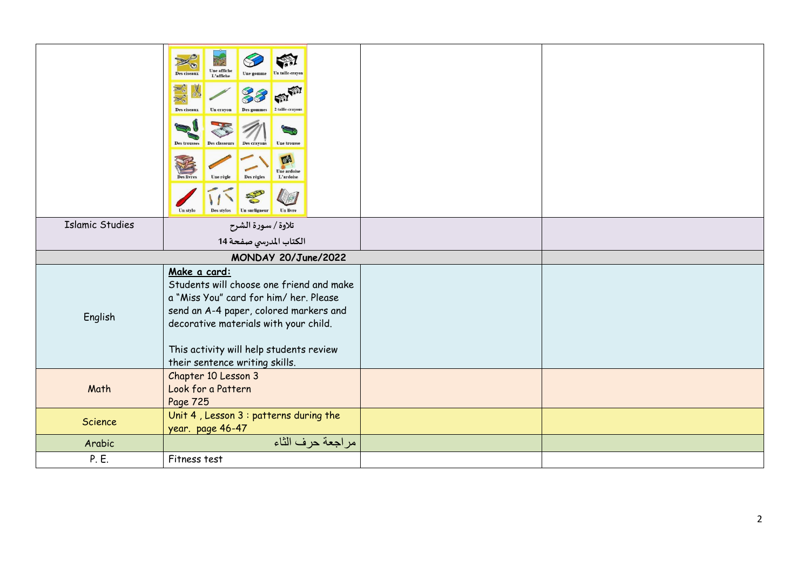|                        | Une affiche<br>Des ciseaux<br>L'affiche<br>Des ciseaux<br>Un crayon<br>Des gommes<br>Des trousses<br>Des classeu<br><b>Une trouss</b><br><b>Des crayon</b><br>$e^{c}$<br><b>Une ardoise</b><br>L'ardoise<br>Des règles<br><b>Des livre</b><br><b>Une reol</b><br>Un livre<br>Un stylo<br>Des stylos |  |
|------------------------|-----------------------------------------------------------------------------------------------------------------------------------------------------------------------------------------------------------------------------------------------------------------------------------------------------|--|
| <b>Islamic Studies</b> | تلاوة / سورة الشرح                                                                                                                                                                                                                                                                                  |  |
|                        | الكتاب المدرسي صفحة 14                                                                                                                                                                                                                                                                              |  |
|                        | MONDAY 20/June/2022                                                                                                                                                                                                                                                                                 |  |
| English                | Make a card:<br>Students will choose one friend and make<br>a "Miss You" card for him/ her. Please<br>send an A-4 paper, colored markers and<br>decorative materials with your child.<br>This activity will help students review<br>their sentence writing skills.                                  |  |
| Math                   | Chapter 10 Lesson 3<br>Look for a Pattern<br>Page 725                                                                                                                                                                                                                                               |  |
| Science                | Unit 4, Lesson 3 : patterns during the<br>year. page 46-47                                                                                                                                                                                                                                          |  |
| Arabic                 | مراجعة حرف الثاء                                                                                                                                                                                                                                                                                    |  |
| P. E.                  | Fitness test                                                                                                                                                                                                                                                                                        |  |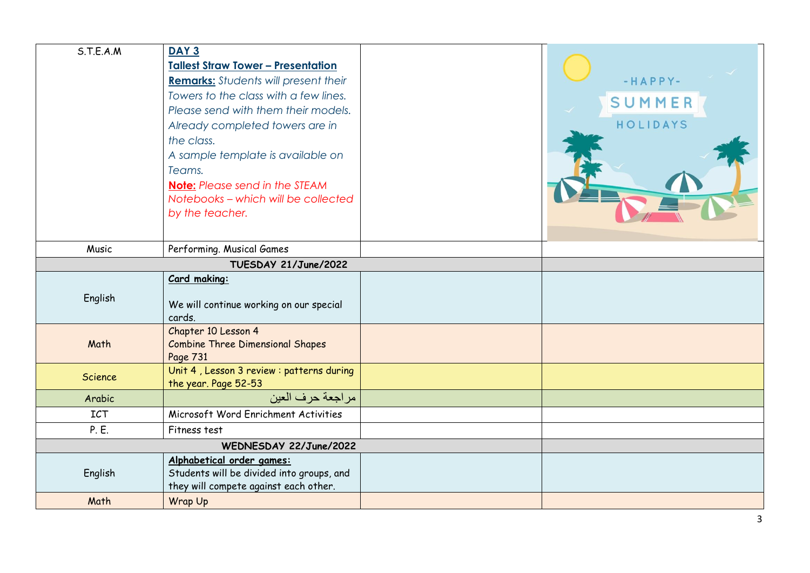| S.T.E.A.M      | DAY <sub>3</sub><br><b>Tallest Straw Tower - Presentation</b><br><b>Remarks:</b> Students will present their<br>Towers to the class with a few lines.<br>Please send with them their models.<br>Already completed towers are in<br>the class.<br>A sample template is available on<br>Teams.<br><b>Note:</b> Please send in the STEAM<br>Notebooks - which will be collected<br>by the teacher. | $-HAPPY-$<br>SUMMER<br>HOLIDAYS |
|----------------|-------------------------------------------------------------------------------------------------------------------------------------------------------------------------------------------------------------------------------------------------------------------------------------------------------------------------------------------------------------------------------------------------|---------------------------------|
| Music          | Performing. Musical Games                                                                                                                                                                                                                                                                                                                                                                       |                                 |
|                | TUESDAY 21/June/2022                                                                                                                                                                                                                                                                                                                                                                            |                                 |
| English        | Card making:<br>We will continue working on our special<br>cards.<br>Chapter 10 Lesson 4                                                                                                                                                                                                                                                                                                        |                                 |
| Math           | <b>Combine Three Dimensional Shapes</b><br>Page 731                                                                                                                                                                                                                                                                                                                                             |                                 |
| <b>Science</b> | Unit 4, Lesson 3 review : patterns during<br>the year. Page 52-53                                                                                                                                                                                                                                                                                                                               |                                 |
| Arabic         | مر اجعة حر ف العين                                                                                                                                                                                                                                                                                                                                                                              |                                 |
| <b>ICT</b>     | Microsoft Word Enrichment Activities                                                                                                                                                                                                                                                                                                                                                            |                                 |
| P. E.          | Fitness test                                                                                                                                                                                                                                                                                                                                                                                    |                                 |
|                | WEDNESDAY 22/June/2022                                                                                                                                                                                                                                                                                                                                                                          |                                 |
| English        | Alphabetical order games:<br>Students will be divided into groups, and<br>they will compete against each other.                                                                                                                                                                                                                                                                                 |                                 |
| Math           | Wrap Up                                                                                                                                                                                                                                                                                                                                                                                         |                                 |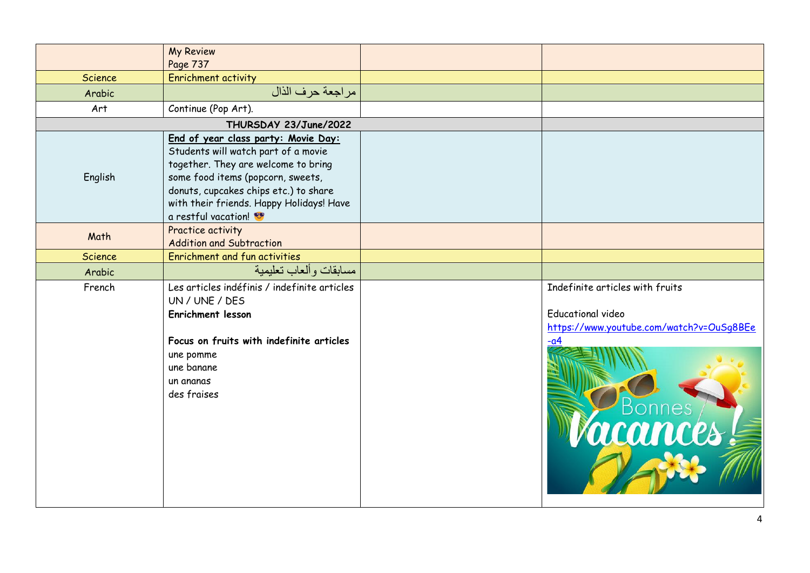|         | <b>My Review</b>                                                                                                                                                                                                                                                   |                                                                                                                             |
|---------|--------------------------------------------------------------------------------------------------------------------------------------------------------------------------------------------------------------------------------------------------------------------|-----------------------------------------------------------------------------------------------------------------------------|
|         | Page 737                                                                                                                                                                                                                                                           |                                                                                                                             |
| Science | <b>Enrichment activity</b>                                                                                                                                                                                                                                         |                                                                                                                             |
| Arabic  | مراجعة حرف الذال                                                                                                                                                                                                                                                   |                                                                                                                             |
| Art     | Continue (Pop Art).                                                                                                                                                                                                                                                |                                                                                                                             |
|         | THURSDAY 23/June/2022                                                                                                                                                                                                                                              |                                                                                                                             |
| English | End of year class party: Movie Day:<br>Students will watch part of a movie<br>together. They are welcome to bring<br>some food items (popcorn, sweets,<br>donuts, cupcakes chips etc.) to share<br>with their friends. Happy Holidays! Have<br>a restful vacation! |                                                                                                                             |
| Math    | Practice activity<br><b>Addition and Subtraction</b>                                                                                                                                                                                                               |                                                                                                                             |
| Science | Enrichment and fun activities                                                                                                                                                                                                                                      |                                                                                                                             |
| Arabic  | مسابقات وألعاب تعليمية                                                                                                                                                                                                                                             |                                                                                                                             |
| French  | Les articles indéfinis / indefinite articles<br>UN / UNE / DES<br>Enrichment lesson<br>Focus on fruits with indefinite articles<br>une pomme<br>une banane<br>un ananas<br>des fraises                                                                             | Indefinite articles with fruits<br><b>Educational video</b><br>https://www.youtube.com/watch?v=OuSq8BEe<br>$-a4$<br>PBonnes |